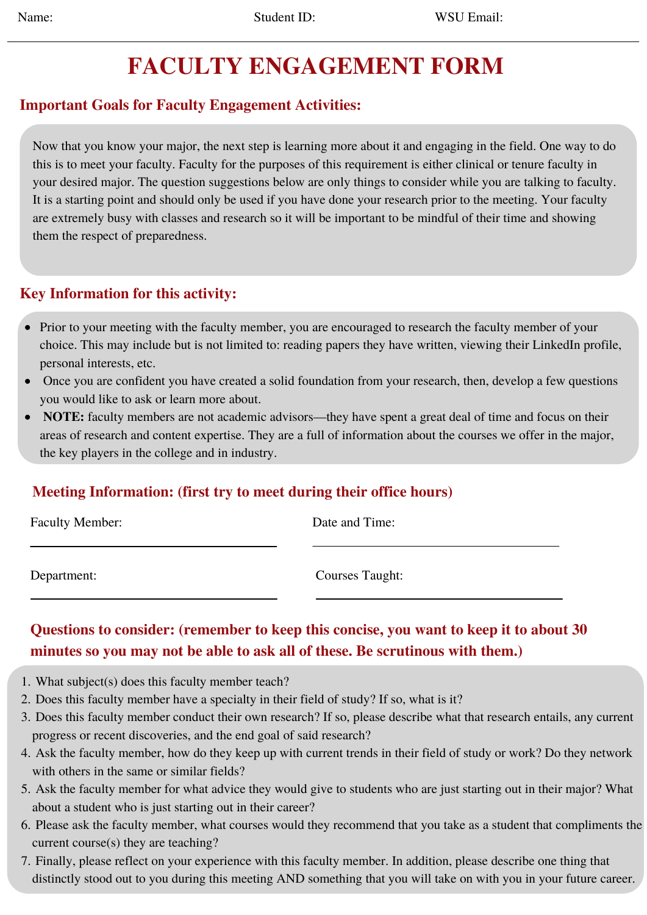# **FACULTY ENGAGEMENT FORM**

# **Important Goals for Faculty Engagement Activities:**

Now that you know your major, the next step is learning more about it and engaging in the field. One way to do this is to meet your faculty. Faculty for the purposes of this requirement is either clinical or tenure faculty in your desired major. The question suggestions below are only things to consider while you are talking to faculty. It is a starting point and should only be used if you have done your research prior to the meeting. Your faculty are extremely busy with classes and research so it will be important to be mindful of their time and showing them the respect of preparedness.

#### **Key Information for this activity:**

- Prior to your meeting with the faculty member, you are encouraged to research the faculty member of your choice. This may include but is not limited to: reading papers they have written, viewing their LinkedIn profile, personal interests, etc.
- Once you are confident you have created a solid foundation from your research, then, develop a few questions you would like to ask or learn more about.
- **NOTE:** faculty members are not academic advisors—they have spent a great deal of time and focus on their areas of research and content expertise. They are a full of information about the courses we offer in the major, the key players in the college and in industry.

### **Meeting Information: (first try to meet during their office hours)**

| <b>Faculty Member:</b> | Date and Time:  |
|------------------------|-----------------|
| Department:            | Courses Taught: |

## **Questions to consider: (remember to keep this concise, you want to keep it to about 30 minutes so you may not be able to ask all of these. Be scrutinous with them.)**

- What subject(s) does this faculty member teach? 1.
- 2. Does this faculty member have a specialty in their field of study? If so, what is it?
- Does this faculty member conduct their own research? If so, please describe what that research entails, any current 3. progress or recent discoveries, and the end goal of said research?
- Ask the faculty member, how do they keep up with current trends in their field of study or work? Do they network 4. with others in the same or similar fields?
- 5. Ask the faculty member for what advice they would give to students who are just starting out in their major? What about a student who is just starting out in their career?
- 6. Please ask the faculty member, what courses would they recommend that you take as a student that compliments the current course(s) they are teaching?
- Finally, please reflect on your experience with this faculty member. In addition, please describe one thing that 7.distinctly stood out to you during this meeting AND something that you will take on with you in your future career.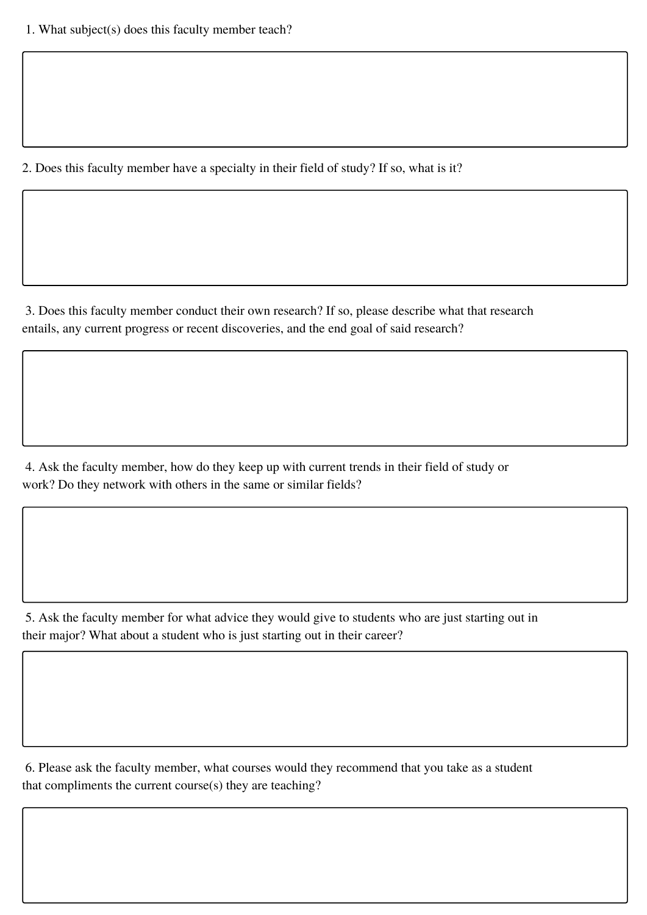2. Does this faculty member have a specialty in their field of study? If so, what is it?

3. Does this faculty member conduct their own research? If so, please describe what that research entails, any current progress or recent discoveries, and the end goal of said research?

4. Ask the faculty member, how do they keep up with current trends in their field of study or work? Do they network with others in the same or similar fields?

5. Ask the faculty member for what advice they would give to students who are just starting out in their major? What about a student who is just starting out in their career?

6. Please ask the faculty member, what courses would they recommend that you take as a student that compliments the current course(s) they are teaching?